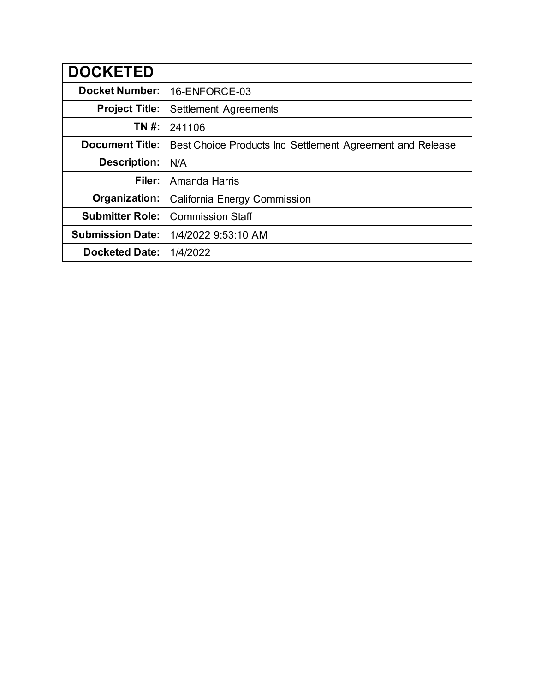| <b>DOCKETED</b>         |                                                           |  |
|-------------------------|-----------------------------------------------------------|--|
| <b>Docket Number:</b>   | 16-ENFORCE-03                                             |  |
| <b>Project Title:</b>   | Settlement Agreements                                     |  |
| TN #:                   | 241106                                                    |  |
| <b>Document Title:</b>  | Best Choice Products Inc Settlement Agreement and Release |  |
| <b>Description:</b>     | N/A                                                       |  |
| Filer:                  | Amanda Harris                                             |  |
| Organization:           | <b>California Energy Commission</b>                       |  |
| <b>Submitter Role:</b>  | <b>Commission Staff</b>                                   |  |
| <b>Submission Date:</b> | 1/4/2022 9:53:10 AM                                       |  |
| <b>Docketed Date:</b>   | 1/4/2022                                                  |  |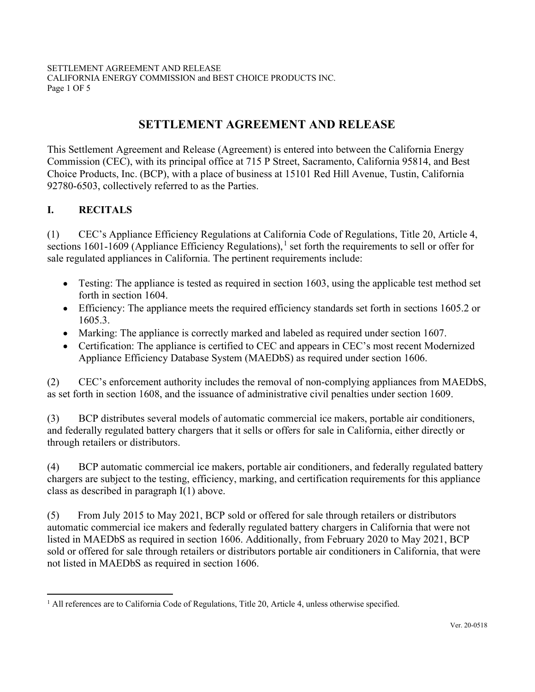SETTLEMENT AGREEMENT AND RELEASE CALIFORNIA ENERGY COMMISSION and BEST CHOICE PRODUCTS INC. Page 1 OF 5

# SETTLEMENT AGREEMENT AND RELEASE

This Settlement Agreement and Release (Agreement) is entered into between the California Energy Commission (CEC), with its principal office at 715 P Street, Sacramento, California 95814, and Best Choice Products, Inc. (BCP), with a place of business at 15101 Red Hill Avenue, Tustin, California 92780-6503, collectively referred to as the Parties.

### I. RECITALS

(1) CEC's Appliance Efficiency Regulations at California Code of Regulations, Title 20, Article 4, sections 1601-1609 (Appliance Efficiency Regulations),<sup>1</sup> set forth the requirements to sell or offer for sale regulated appliances in California. The pertinent requirements include:

- Testing: The appliance is tested as required in section 1603, using the applicable test method set forth in section 1604. •
- Efficiency: The appliance meets the required efficiency standards set forth in sections 1605.2 or 1605.3.
- Marking: The appliance is correctly marked and labeled as required under section 1607.
- Certification: The appliance is certified to CEC and appears in CEC's most recent Modernized Appliance Efficiency Database System (MAEDbS) as required under section 1606.

(2) CEC's enforcement authority includes the removal of non-complying appliances from MAEDbS, as set forth in section 1608, and the issuance of administrative civil penalties under section 1609.

(3) BCP distributes several models of automatic commercial ice makers, portable air conditioners, and federally regulated battery chargers that it sells or offers for sale in California, either directly or through retailers or distributors.

(4) BCP automatic commercial ice makers, portable air conditioners, and federally regulated battery chargers are subject to the testing, efficiency, marking, and certification requirements for this appliance class as described in paragraph I(1) above.

(5) From July 2015 to May 2021, BCP sold or offered for sale through retailers or distributors automatic commercial ice makers and federally regulated battery chargers in California that were not listed in MAEDbS as required in section 1606. Additionally, from February 2020 to May 2021, BCP sold or offered for sale through retailers or distributors portable air conditioners in California, that were not listed in MAEDbS as required in section 1606.

 $<sup>1</sup>$  All references are to California Code of Regulations, Title 20, Article 4, unless otherwise specified.</sup>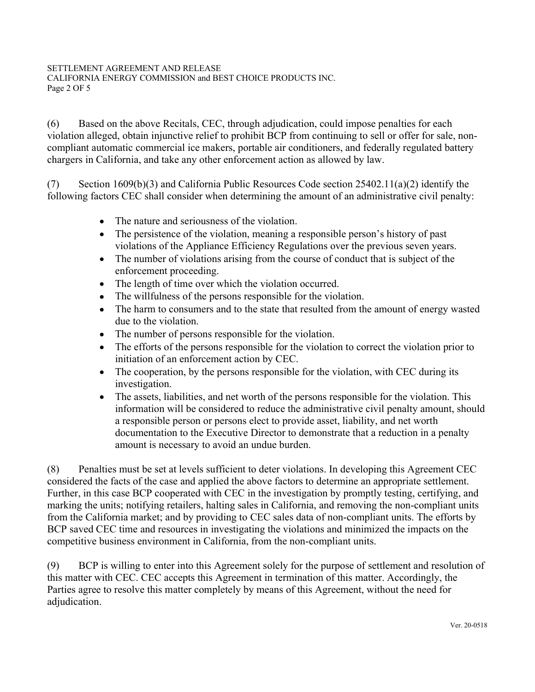#### SETTLEMENT AGREEMENT AND RELEASE CALIFORNIA ENERGY COMMISSION and BEST CHOICE PRODUCTS INC. Page 2 OF 5

(6) Based on the above Recitals, CEC, through adjudication, could impose penalties for each violation alleged, obtain injunctive relief to prohibit BCP from continuing to sell or offer for sale, noncompliant automatic commercial ice makers, portable air conditioners, and federally regulated battery chargers in California, and take any other enforcement action as allowed by law.

(7) Section 1609(b)(3) and California Public Resources Code section 25402.11(a)(2) identify the following factors CEC shall consider when determining the amount of an administrative civil penalty:

- The nature and seriousness of the violation. •
- The persistence of the violation, meaning a responsible person's history of past violations of the Appliance Efficiency Regulations over the previous seven years.  $\bullet$
- The number of violations arising from the course of conduct that is subject of the enforcement proceeding.  $\bullet$
- The length of time over which the violation occurred. •
- The willfulness of the persons responsible for the violation. •
- The harm to consumers and to the state that resulted from the amount of energy wasted due to the violation.  $\bullet$
- The number of persons responsible for the violation. •
- The efforts of the persons responsible for the violation to correct the violation prior to initiation of an enforcement action by CEC.  $\bullet$
- The cooperation, by the persons responsible for the violation, with CEC during its investigation. •
- The assets, liabilities, and net worth of the persons responsible for the violation. This information will be considered to reduce the administrative civil penalty amount, should a responsible person or persons elect to provide asset, liability, and net worth documentation to the Executive Director to demonstrate that a reduction in a penalty amount is necessary to avoid an undue burden.  $\bullet$

(8) Penalties must be set at levels sufficient to deter violations. In developing this Agreement CEC considered the facts of the case and applied the above factors to determine an appropriate settlement. Further, in this case BCP cooperated with CEC in the investigation by promptly testing, certifying, and marking the units; notifying retailers, halting sales in California, and removing the non-compliant units from the California market; and by providing to CEC sales data of non-compliant units. The efforts by BCP saved CEC time and resources in investigating the violations and minimized the impacts on the competitive business environment in California, from the non-compliant units.

(9) BCP is willing to enter into this Agreement solely for the purpose of settlement and resolution of this matter with CEC. CEC accepts this Agreement in termination of this matter. Accordingly, the Parties agree to resolve this matter completely by means of this Agreement, without the need for adjudication.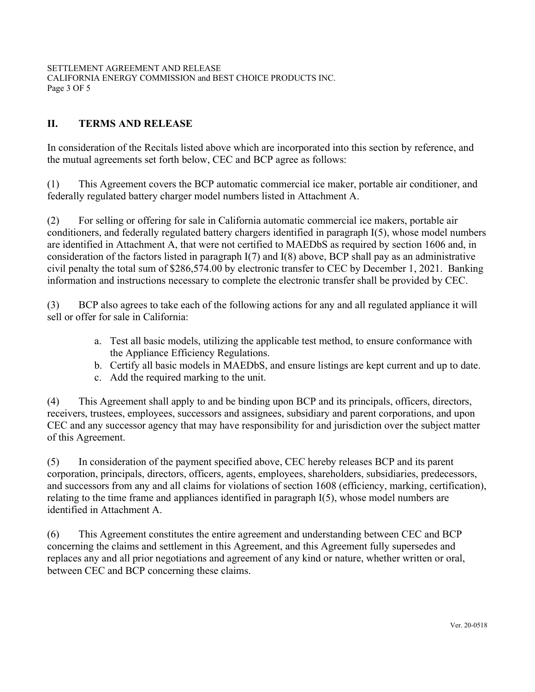SETTLEMENT AGREEMENT AND RELEASE CALIFORNIA ENERGY COMMISSION and BEST CHOICE PRODUCTS INC. Page 3 OF 5

### II. TERMS AND RELEASE

In consideration of the Recitals listed above which are incorporated into this section by reference, and the mutual agreements set forth below, CEC and BCP agree as follows:

(1) This Agreement covers the BCP automatic commercial ice maker, portable air conditioner, and federally regulated battery charger model numbers listed in Attachment A.

(2) For selling or offering for sale in California automatic commercial ice makers, portable air conditioners, and federally regulated battery chargers identified in paragraph I(5), whose model numbers are identified in Attachment A, that were not certified to MAEDbS as required by section 1606 and, in consideration of the factors listed in paragraph I(7) and I(8) above, BCP shall pay as an administrative civil penalty the total sum of \$286,574.00 by electronic transfer to CEC by December 1, 2021. Banking information and instructions necessary to complete the electronic transfer shall be provided by CEC.

(3) BCP also agrees to take each of the following actions for any and all regulated appliance it will sell or offer for sale in California:

- a. Test all basic models, utilizing the applicable test method, to ensure conformance with the Appliance Efficiency Regulations.
- b. Certify all basic models in MAEDbS, and ensure listings are kept current and up to date.
- c. Add the required marking to the unit.

(4) This Agreement shall apply to and be binding upon BCP and its principals, officers, directors, receivers, trustees, employees, successors and assignees, subsidiary and parent corporations, and upon CEC and any successor agency that may have responsibility for and jurisdiction over the subject matter of this Agreement.

(5) In consideration of the payment specified above, CEC hereby releases BCP and its parent corporation, principals, directors, officers, agents, employees, shareholders, subsidiaries, predecessors, and successors from any and all claims for violations of section 1608 (efficiency, marking, certification), relating to the time frame and appliances identified in paragraph I(5), whose model numbers are identified in Attachment A.

(6) This Agreement constitutes the entire agreement and understanding between CEC and BCP concerning the claims and settlement in this Agreement, and this Agreement fully supersedes and replaces any and all prior negotiations and agreement of any kind or nature, whether written or oral, between CEC and BCP concerning these claims.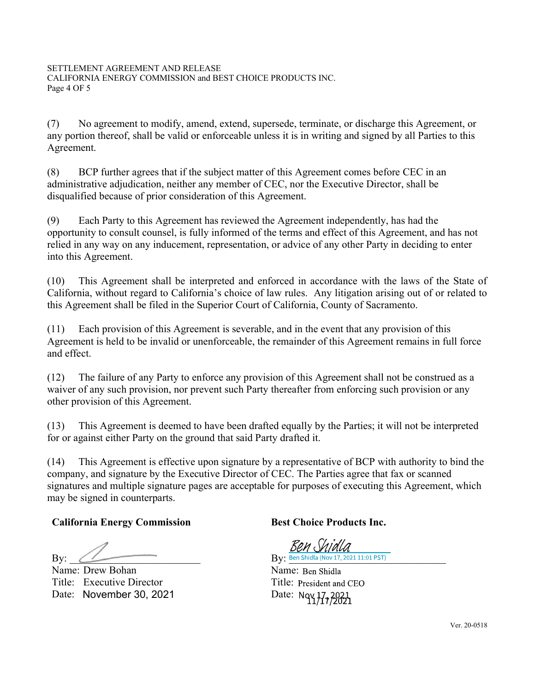(7) No agreement to modify, amend, extend, supersede, terminate, or discharge this Agreement, or any portion thereof, shall be valid or enforceable unless it is in writing and signed by all Parties to this Agreement.

(8) BCP further agrees that if the subject matter of this Agreement comes before CEC in an administrative adjudication, neither any member of CEC, nor the Executive Director, shall be disqualified because of prior consideration of this Agreement.

(9) Each Party to this Agreement has reviewed the Agreement independently, has had the opportunity to consult counsel, is fully informed of the terms and effect of this Agreement, and has not relied in any way on any inducement, representation, or advice of any other Party in deciding to enter into this Agreement.

(10) This Agreement shall be interpreted and enforced in accordance with the laws of the State of California, without regard to California's choice of law rules. Any litigation arising out of or related to this Agreement shall be filed in the Superior Court of California, County of Sacramento.

(11) Each provision of this Agreement is severable, and in the event that any provision of this Agreement is held to be invalid or unenforceable, the remainder of this Agreement remains in full force and effect.

(12) The failure of any Party to enforce any provision of this Agreement shall not be construed as a waiver of any such provision, nor prevent such Party thereafter from enforcing such provision or any other provision of this Agreement.

(13) This Agreement is deemed to have been drafted equally by the Parties; it will not be interpreted for or against either Party on the ground that said Party drafted it.

(14) This Agreement is effective upon signature by a representative of BCP with authority to bind the company, and signature by the Executive Director of CEC. The Parties agree that fax or scanned signatures and multiple signature pages are acceptable for purposes of executing this Agreement, which may be signed in counterparts.

# California Energy Commission Best Choice Products Inc.

 $\mathbf{B}$ y: Ben Shidla (Nov 17, 2021 11:01 PST)

Name: Drew Bohan Title: Executive Director Title: President and C<br>Date: November 30, 2021 Date: Nov 17, 2021<br>11/17/2021 Date: November 30, 2021

Ren Shidla

Name: Ben Shidla Title: President and CEO